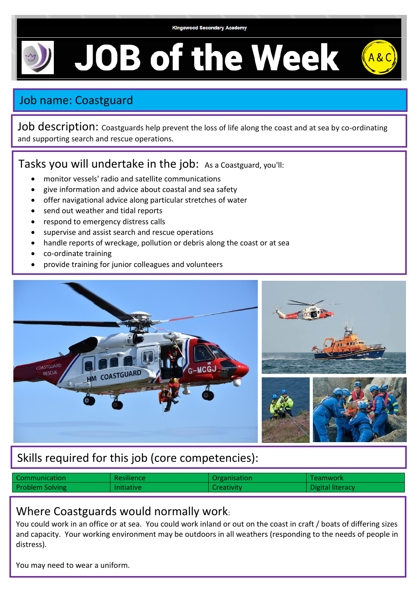**Kingswood Secondary Academy** 

**JOB of the Week** 

## Job name: Coastguard

Job description: Coastguards help prevent the loss of life along the coast and at sea by co-ordinating and supporting search and rescue operations.

## Tasks you will undertake in the job: As a Coastguard, you'll:

- monitor vessels' radio and satellite communications
- give information and advice about coastal and sea safety
- offer navigational advice along particular stretches of water
- send out weather and tidal reports
- respond to emergency distress calls
- supervise and assist search and rescue operations
- handle reports of wreckage, pollution or debris along the coast or at sea
- co-ordinate training
- provide training for junior colleagues and volunteers



## Skills required for this job (core competencies):

| Communication          | Resilience        | <b>Crganisation</b> | Teamwork         |
|------------------------|-------------------|---------------------|------------------|
| <b>Problem Solving</b> | <b>Initiative</b> | <b>Creativity</b>   | Digital literacy |

## Where Coastguards would normally work:

You could work in an office or at sea. You could work inland or out on the coast in craft / boats of differing sizes and capacity. Your working environment may be outdoors in all weathers (responding to the needs of people in distress).

You may need to wear a uniform.